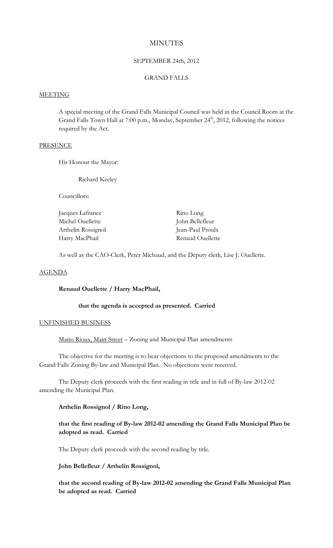## **MINUTES**

## SEPTEMBER 24th, 2012

## GRAND FALLS

#### MEETING

A special meeting of the Grand Falls Municipal Council was held in the Council Room at the Grand Falls Town Hall at 7:00 p.m., Monday, September 24<sup>th</sup>, 2012, following the notices required by the Act.

## **PRESENCE**

His Honour the Mayor:

Richard Keeley

Councillors:

| Jacques Lafrance   | Rino Long        |
|--------------------|------------------|
| Michel Ouellette   | John Bellefleur  |
| Arthelin Rossignol | Jean-Paul Proulx |
| Harry MacPhail     | Renaud Ouellette |

As well as the CAO-Clerk, Peter Michaud, and the Deputy clerk, Lise J. Ouellette.

#### AGENDA

## **Renaud Ouellette / Harry MacPhail,**

# **that the agenda is accepted as presented. Carried**

#### UNFINISHED BUSINESS

Mario Rioux, Main Street – Zoning and Municipal Plan amendments

The objective for the meeting is to hear objections to the proposed amendments to the Grand Falls Zoning By-law and Municipal Plan. No objections were received.

The Deputy clerk proceeds with the first reading in title and in full of By-law 2012-02 amending the Municipal Plan.

### **Arthelin Rossignol / Rino Long,**

# **that the first reading of By-law 2012-02 amending the Grand Falls Municipal Plan be adopted as read. Carried**

The Deputy clerk proceeds with the second reading by title.

# **John Bellefleur / Arthelin Rossignol,**

**that the second reading of By-law 2012-02 amending the Grand Falls Municipal Plan be adopted as read. Carried**